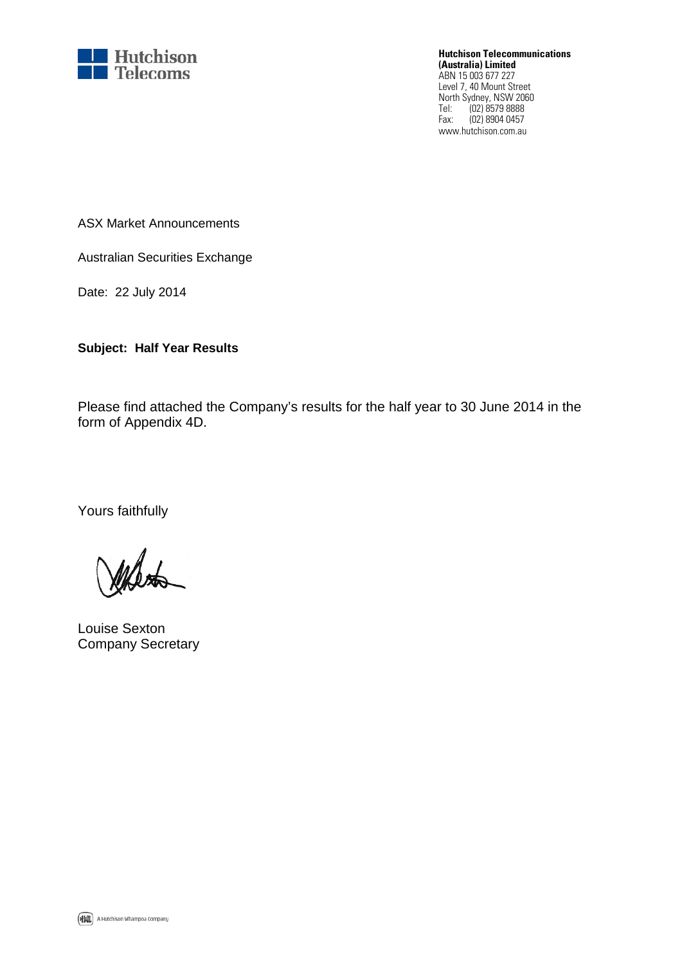

**Hutchison Telecommunications (Australia) Limited** ABN 15 003 677 227 Level 7, 40 Mount Street

North Sydney, NSW 2060 Tel: (02) 8579 8888 Fax: (02) 8904 0457 www.hutchison.com.au

ASX Market Announcements

Australian Securities Exchange

Date: 22 July 2014

**Subject: Half Year Results**

Please find attached the Company's results for the half year to 30 June 2014 in the form of Appendix 4D.

Yours faithfully

Louise Sexton Company Secretary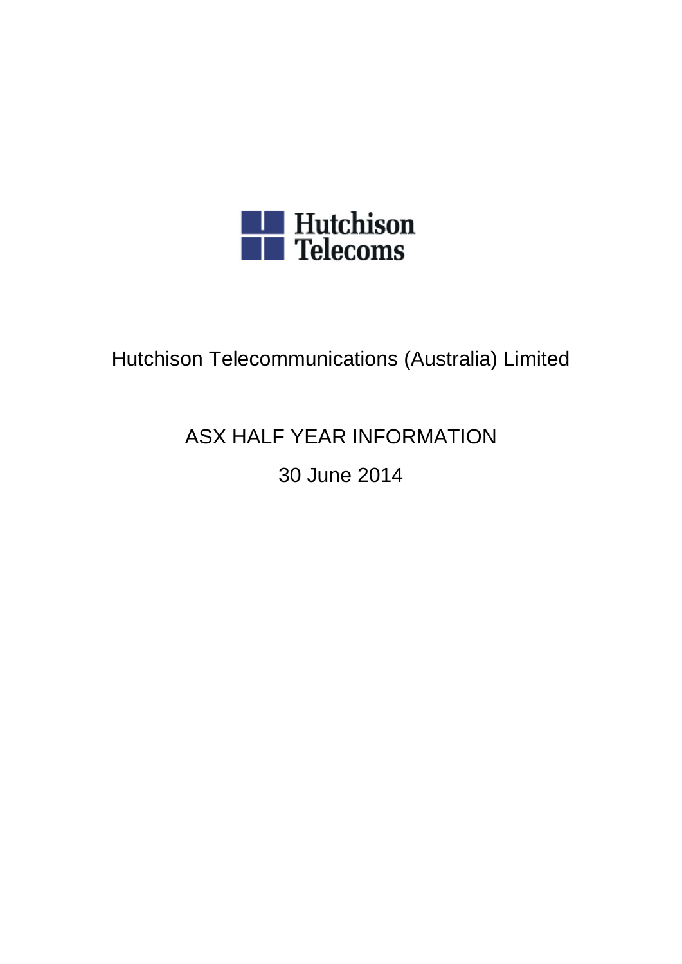

# Hutchison Telecommunications (Australia) Limited

# ASX HALF YEAR INFORMATION

# 30 June 2014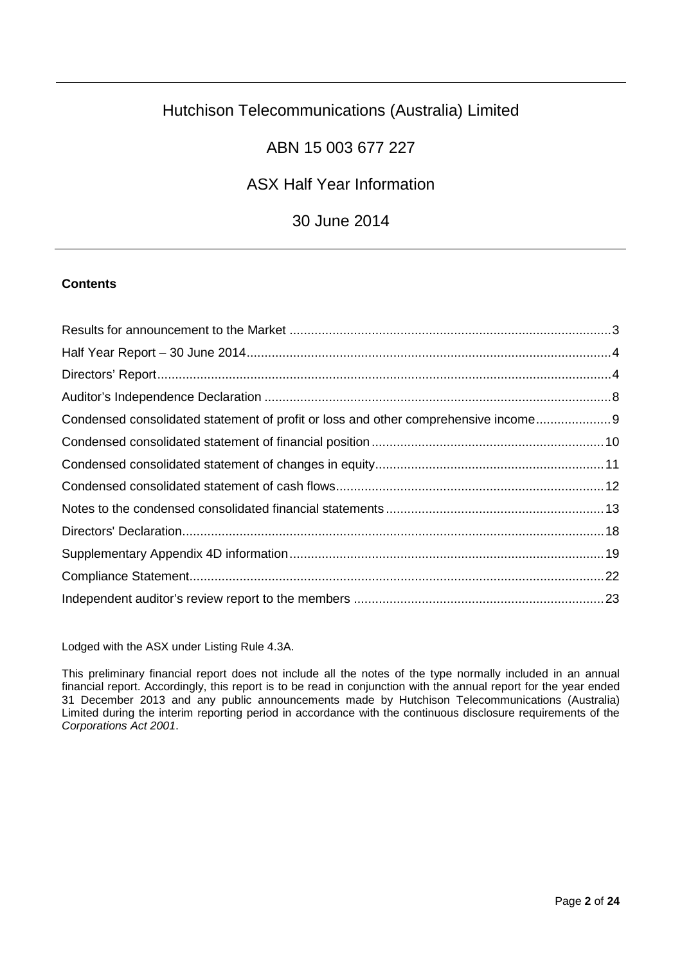# Hutchison Telecommunications (Australia) Limited

# ABN 15 003 677 227

# ASX Half Year Information

# 30 June 2014

## **Contents**

| Condensed consolidated statement of profit or loss and other comprehensive income 9 |  |
|-------------------------------------------------------------------------------------|--|
|                                                                                     |  |
|                                                                                     |  |
|                                                                                     |  |
|                                                                                     |  |
|                                                                                     |  |
|                                                                                     |  |
|                                                                                     |  |
|                                                                                     |  |

Lodged with the ASX under Listing Rule 4.3A.

This preliminary financial report does not include all the notes of the type normally included in an annual financial report. Accordingly, this report is to be read in conjunction with the annual report for the year ended 31 December 2013 and any public announcements made by Hutchison Telecommunications (Australia) Limited during the interim reporting period in accordance with the continuous disclosure requirements of the *Corporations Act 2001*.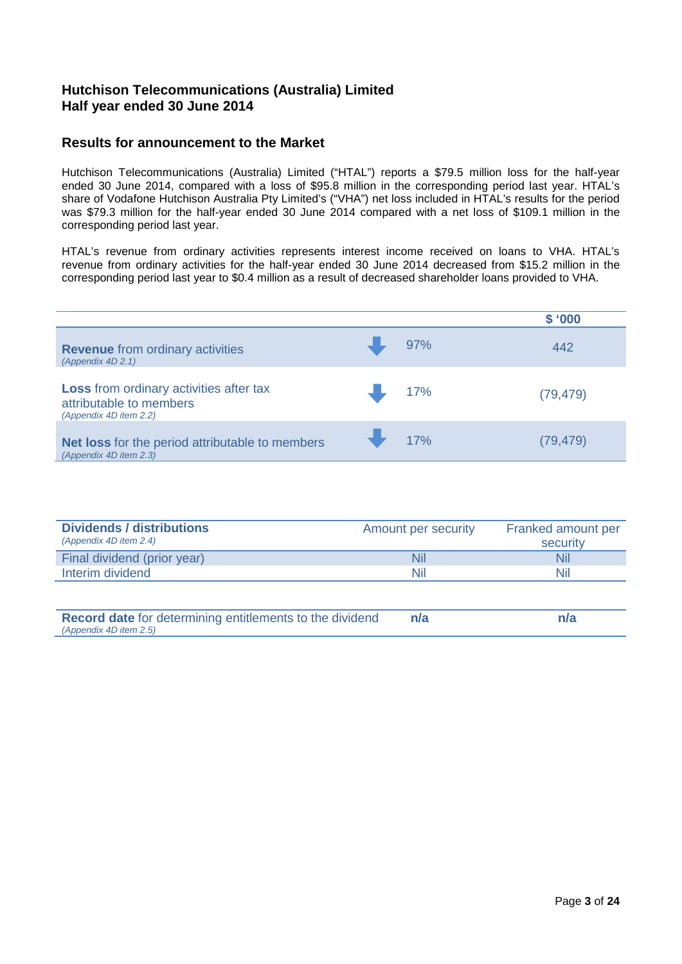## **Hutchison Telecommunications (Australia) Limited Half year ended 30 June 2014**

## <span id="page-3-0"></span>**Results for announcement to the Market**

Hutchison Telecommunications (Australia) Limited ("HTAL") reports a \$79.5 million loss for the half-year ended 30 June 2014, compared with a loss of \$95.8 million in the corresponding period last year. HTAL's share of Vodafone Hutchison Australia Pty Limited's ("VHA") net loss included in HTAL's results for the period was \$79.3 million for the half-year ended 30 June 2014 compared with a net loss of \$109.1 million in the corresponding period last year.

HTAL's revenue from ordinary activities represents interest income received on loans to VHA. HTAL's revenue from ordinary activities for the half-year ended 30 June 2014 decreased from \$15.2 million in the corresponding period last year to \$0.4 million as a result of decreased shareholder loans provided to VHA.

|                                                                                                     |     | \$'000    |
|-----------------------------------------------------------------------------------------------------|-----|-----------|
| <b>Revenue</b> from ordinary activities<br>(Appendix 4D 2.1)                                        | 97% | 442       |
| <b>Loss</b> from ordinary activities after tax<br>attributable to members<br>(Appendix 4D item 2.2) | 17% | (79, 479) |
| Net loss for the period attributable to members<br>(Appendix 4D item 2.3)                           | 17% | (79, 479) |

| <b>Dividends / distributions</b><br>(Appendix 4D item 2.4) | Amount per security | Franked amount per<br>security |
|------------------------------------------------------------|---------------------|--------------------------------|
| Final dividend (prior year)                                | Nil                 | Nil                            |
| Interim dividend                                           | Nil                 | Nil                            |

**Record date** for determining entitlements to the dividend **n/a** *(Appendix 4D item 2.5)* **n/a**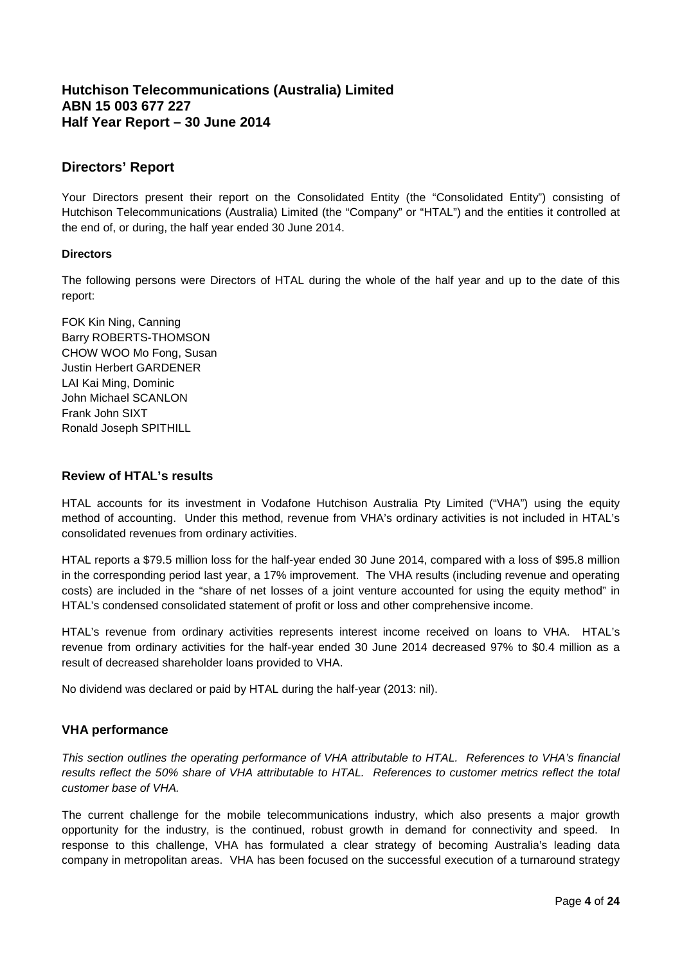## <span id="page-4-0"></span>**Hutchison Telecommunications (Australia) Limited ABN 15 003 677 227 Half Year Report – 30 June 2014**

## <span id="page-4-1"></span>**Directors' Report**

Your Directors present their report on the Consolidated Entity (the "Consolidated Entity") consisting of Hutchison Telecommunications (Australia) Limited (the "Company" or "HTAL") and the entities it controlled at the end of, or during, the half year ended 30 June 2014.

#### **Directors**

The following persons were Directors of HTAL during the whole of the half year and up to the date of this report:

FOK Kin Ning, Canning Barry ROBERTS-THOMSON CHOW WOO Mo Fong, Susan Justin Herbert GARDENER LAI Kai Ming, Dominic John Michael SCANLON Frank John SIXT Ronald Joseph SPITHILL

#### **Review of HTAL's results**

HTAL accounts for its investment in Vodafone Hutchison Australia Pty Limited ("VHA") using the equity method of accounting. Under this method, revenue from VHA's ordinary activities is not included in HTAL's consolidated revenues from ordinary activities.

HTAL reports a \$79.5 million loss for the half-year ended 30 June 2014, compared with a loss of \$95.8 million in the corresponding period last year, a 17% improvement. The VHA results (including revenue and operating costs) are included in the "share of net losses of a joint venture accounted for using the equity method" in HTAL's condensed consolidated statement of profit or loss and other comprehensive income.

HTAL's revenue from ordinary activities represents interest income received on loans to VHA. HTAL's revenue from ordinary activities for the half-year ended 30 June 2014 decreased 97% to \$0.4 million as a result of decreased shareholder loans provided to VHA.

No dividend was declared or paid by HTAL during the half-year (2013: nil).

## **VHA performance**

*This section outlines the operating performance of VHA attributable to HTAL. References to VHA's financial results reflect the 50% share of VHA attributable to HTAL. References to customer metrics reflect the total customer base of VHA.* 

The current challenge for the mobile telecommunications industry, which also presents a major growth opportunity for the industry, is the continued, robust growth in demand for connectivity and speed. In response to this challenge, VHA has formulated a clear strategy of becoming Australia's leading data company in metropolitan areas. VHA has been focused on the successful execution of a turnaround strategy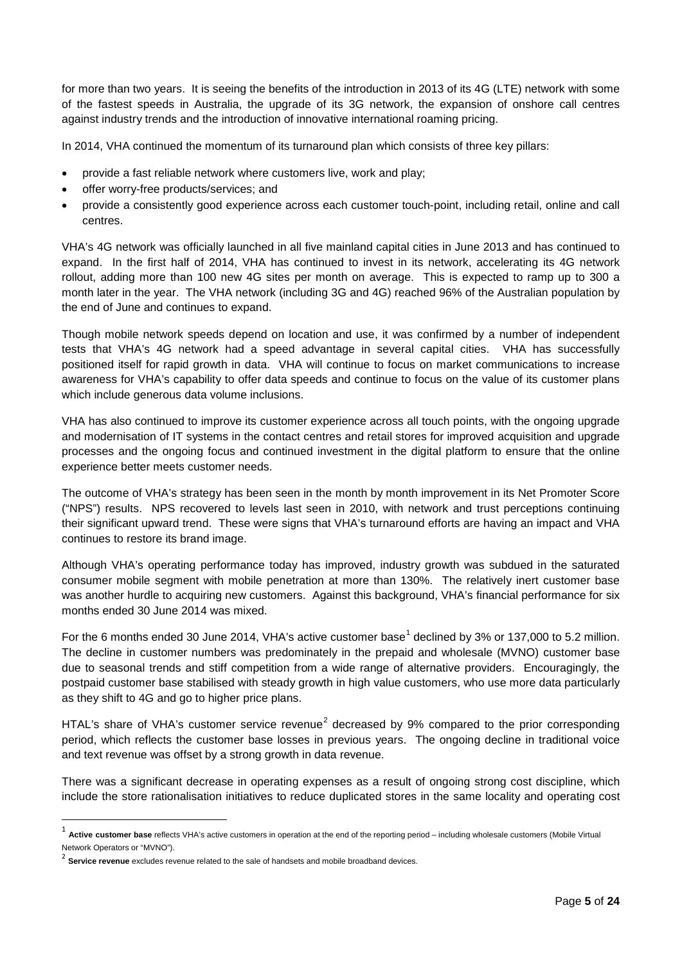for more than two years. It is seeing the benefits of the introduction in 2013 of its 4G (LTE) network with some of the fastest speeds in Australia, the upgrade of its 3G network, the expansion of onshore call centres against industry trends and the introduction of innovative international roaming pricing.

In 2014, VHA continued the momentum of its turnaround plan which consists of three key pillars:

- provide a fast reliable network where customers live, work and play;
- offer worry-free products/services; and
- provide a consistently good experience across each customer touch-point, including retail, online and call centres.

VHA's 4G network was officially launched in all five mainland capital cities in June 2013 and has continued to expand. In the first half of 2014, VHA has continued to invest in its network, accelerating its 4G network rollout, adding more than 100 new 4G sites per month on average. This is expected to ramp up to 300 a month later in the year. The VHA network (including 3G and 4G) reached 96% of the Australian population by the end of June and continues to expand.

Though mobile network speeds depend on location and use, it was confirmed by a number of independent tests that VHA's 4G network had a speed advantage in several capital cities. VHA has successfully positioned itself for rapid growth in data. VHA will continue to focus on market communications to increase awareness for VHA's capability to offer data speeds and continue to focus on the value of its customer plans which include generous data volume inclusions.

VHA has also continued to improve its customer experience across all touch points, with the ongoing upgrade and modernisation of IT systems in the contact centres and retail stores for improved acquisition and upgrade processes and the ongoing focus and continued investment in the digital platform to ensure that the online experience better meets customer needs.

The outcome of VHA's strategy has been seen in the month by month improvement in its Net Promoter Score ("NPS") results. NPS recovered to levels last seen in 2010, with network and trust perceptions continuing their significant upward trend. These were signs that VHA's turnaround efforts are having an impact and VHA continues to restore its brand image.

Although VHA's operating performance today has improved, industry growth was subdued in the saturated consumer mobile segment with mobile penetration at more than 130%. The relatively inert customer base was another hurdle to acquiring new customers. Against this background, VHA's financial performance for six months ended 30 June 2014 was mixed.

For the 6 months ended 30 June 20[1](#page-5-0)4, VHA's active customer base<sup>1</sup> declined by 3% or 137,000 to 5.2 million. The decline in customer numbers was predominately in the prepaid and wholesale (MVNO) customer base due to seasonal trends and stiff competition from a wide range of alternative providers. Encouragingly, the postpaid customer base stabilised with steady growth in high value customers, who use more data particularly as they shift to 4G and go to higher price plans.

HTAL's share of VHA's customer service revenue<sup>[2](#page-5-1)</sup> decreased by 9% compared to the prior corresponding period, which reflects the customer base losses in previous years. The ongoing decline in traditional voice and text revenue was offset by a strong growth in data revenue.

There was a significant decrease in operating expenses as a result of ongoing strong cost discipline, which include the store rationalisation initiatives to reduce duplicated stores in the same locality and operating cost

<span id="page-5-0"></span> <sup>1</sup> **Active customer base** reflects VHA's active customers in operation at the end of the reporting period – including wholesale customers (Mobile Virtual Network Operators or "MVNO").

<span id="page-5-1"></span><sup>2</sup> **Service revenue** excludes revenue related to the sale of handsets and mobile broadband devices.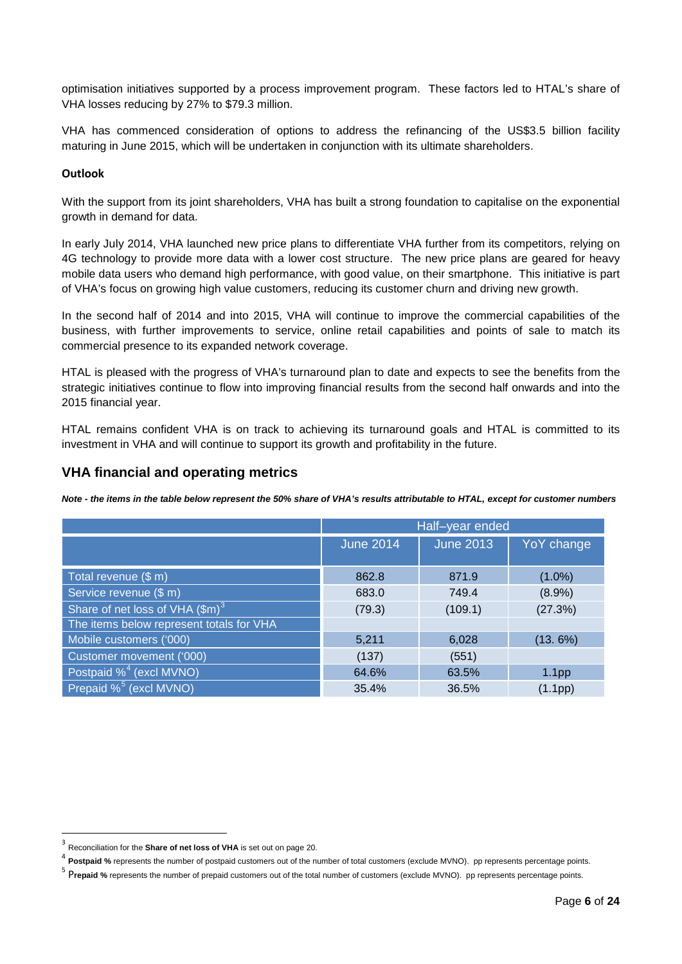optimisation initiatives supported by a process improvement program. These factors led to HTAL's share of VHA losses reducing by 27% to \$79.3 million.

VHA has commenced consideration of options to address the refinancing of the US\$3.5 billion facility maturing in June 2015, which will be undertaken in conjunction with its ultimate shareholders.

#### **Outlook**

With the support from its joint shareholders, VHA has built a strong foundation to capitalise on the exponential growth in demand for data.

In early July 2014, VHA launched new price plans to differentiate VHA further from its competitors, relying on 4G technology to provide more data with a lower cost structure. The new price plans are geared for heavy mobile data users who demand high performance, with good value, on their smartphone. This initiative is part of VHA's focus on growing high value customers, reducing its customer churn and driving new growth.

In the second half of 2014 and into 2015, VHA will continue to improve the commercial capabilities of the business, with further improvements to service, online retail capabilities and points of sale to match its commercial presence to its expanded network coverage.

HTAL is pleased with the progress of VHA's turnaround plan to date and expects to see the benefits from the strategic initiatives continue to flow into improving financial results from the second half onwards and into the 2015 financial year.

HTAL remains confident VHA is on track to achieving its turnaround goals and HTAL is committed to its investment in VHA and will continue to support its growth and profitability in the future.

#### **VHA financial and operating metrics**

*Note - the items in the table below represent the 50% share of VHA's results attributable to HTAL, except for customer numbers*

|                                          | Half-year ended  |                  |                   |  |
|------------------------------------------|------------------|------------------|-------------------|--|
|                                          | <b>June 2014</b> | <b>June 2013</b> | YoY change        |  |
| Total revenue (\$ m)                     | 862.8            | 871.9            | $(1.0\%)$         |  |
| Service revenue (\$ m)                   | 683.0            | 749.4            | $(8.9\%)$         |  |
| Share of net loss of VHA $(\text{Im})^3$ | (79.3)           | (109.1)          | (27.3%)           |  |
| The items below represent totals for VHA |                  |                  |                   |  |
| Mobile customers ('000)                  | 5,211            | 6,028            | (13.6%)           |  |
| Customer movement ('000)                 | (137)            | (551)            |                   |  |
| Postpaid % <sup>4</sup> (excl MVNO)      | 64.6%            | 63.5%            | 1.1 <sub>pp</sub> |  |
| Prepaid % <sup>5</sup> (excl MVNO)       | 35.4%            | 36.5%            | (1.1pp)           |  |

 <sup>3</sup> Reconciliation for the **Share of net loss of VHA** is set out on page 20.

<span id="page-6-1"></span><span id="page-6-0"></span><sup>4</sup> **Postpaid %** represents the number of postpaid customers out of the number of total customers (exclude MVNO). pp represents percentage points.

<span id="page-6-2"></span><sup>5</sup> P**repaid %** represents the number of prepaid customers out of the total number of customers (exclude MVNO). pp represents percentage points.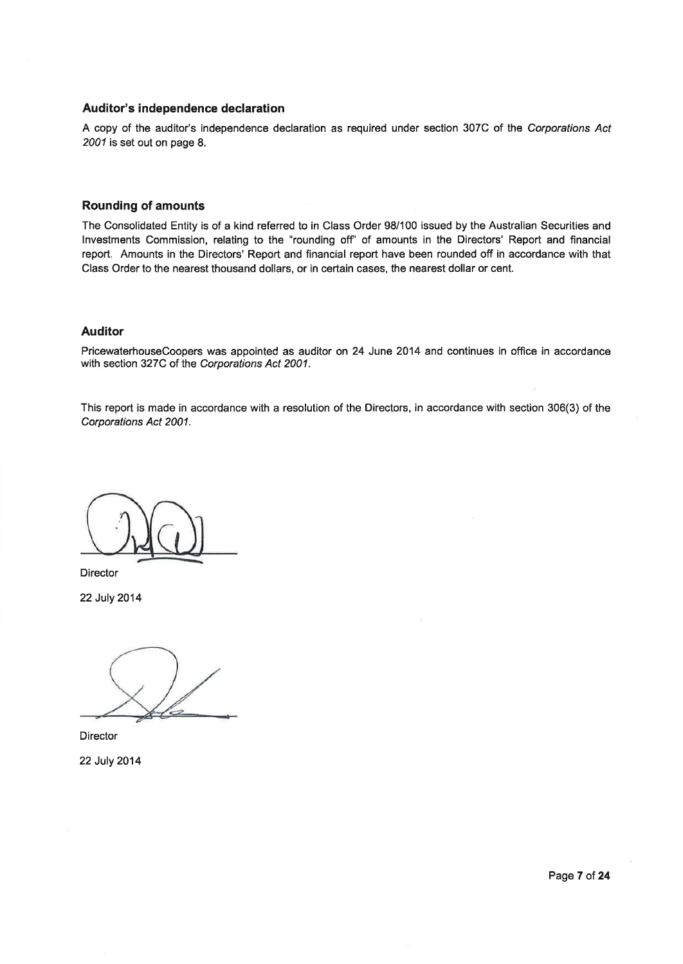#### Auditor's independence declaration

A copy of the auditor's independence declaration as required under section 307C of the Corporations Act 2001 is set out on page 8.

#### **Rounding of amounts**

The Consolidated Entity is of a kind referred to in Class Order 98/100 issued by the Australian Securities and Investments Commission, relating to the "rounding off" of amounts in the Directors' Report and financial report. Amounts in the Directors' Report and financial report have been rounded off in accordance with that Class Order to the nearest thousand dollars, or in certain cases, the nearest dollar or cent.

#### **Auditor**

PricewaterhouseCoopers was appointed as auditor on 24 June 2014 and continues in office in accordance with section 327C of the Corporations Act 2001.

This report is made in accordance with a resolution of the Directors, in accordance with section 306(3) of the Corporations Act 2001.

Director

22 July 2014

Director 22 July 2014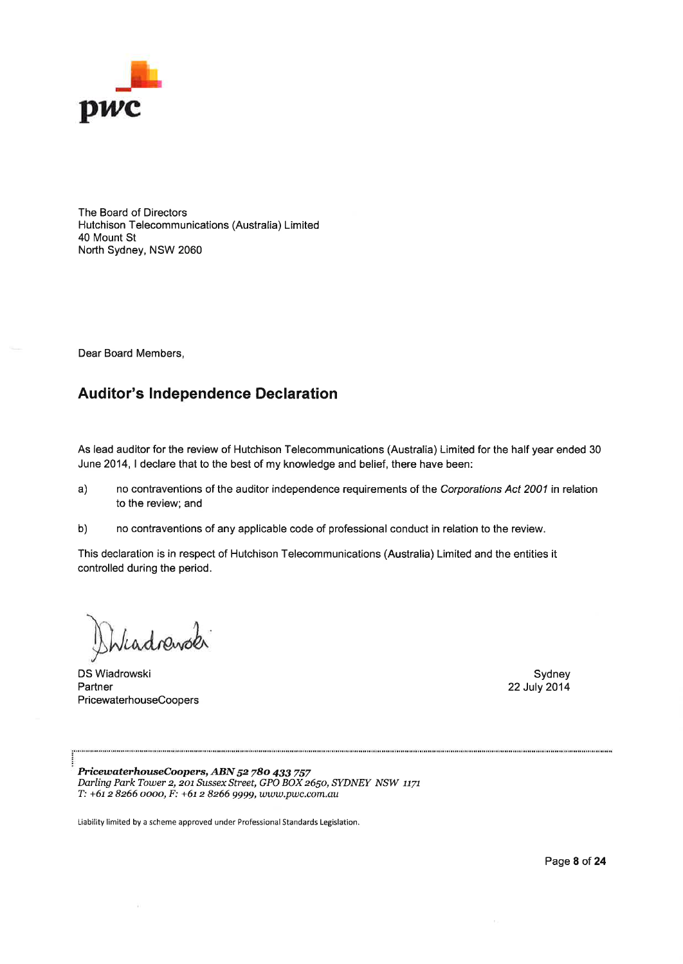

The Board of Directors Hutchison Telecommunications (Australia) Limited 40 Mount St North Sydney, NSW 2060

Dear Board Members,

# **Auditor's Independence Declaration**

As lead auditor for the review of Hutchison Telecommunications (Australia) Limited for the half year ended 30 June 2014, I declare that to the best of my knowledge and belief, there have been:

 $a)$ no contraventions of the auditor independence requirements of the Corporations Act 2001 in relation to the review; and

 $b)$ no contraventions of any applicable code of professional conduct in relation to the review.

This declaration is in respect of Hutchison Telecommunications (Australia) Limited and the entities it controlled during the period.

Viadrewok

DS Wiadrowski Partner PricewaterhouseCoopers

Sydney 22 July 2014

PricewaterhouseCoopers, ABN 52 780 433 757 Darling Park Tower 2, 201 Sussex Street, GPO BOX 2650, SYDNEY NSW 1171 Т: +61 2 8266 0000, F: +61 2 8266 9999, www.pwc.com.au

Liability limited by a scheme approved under Professional Standards Legislation.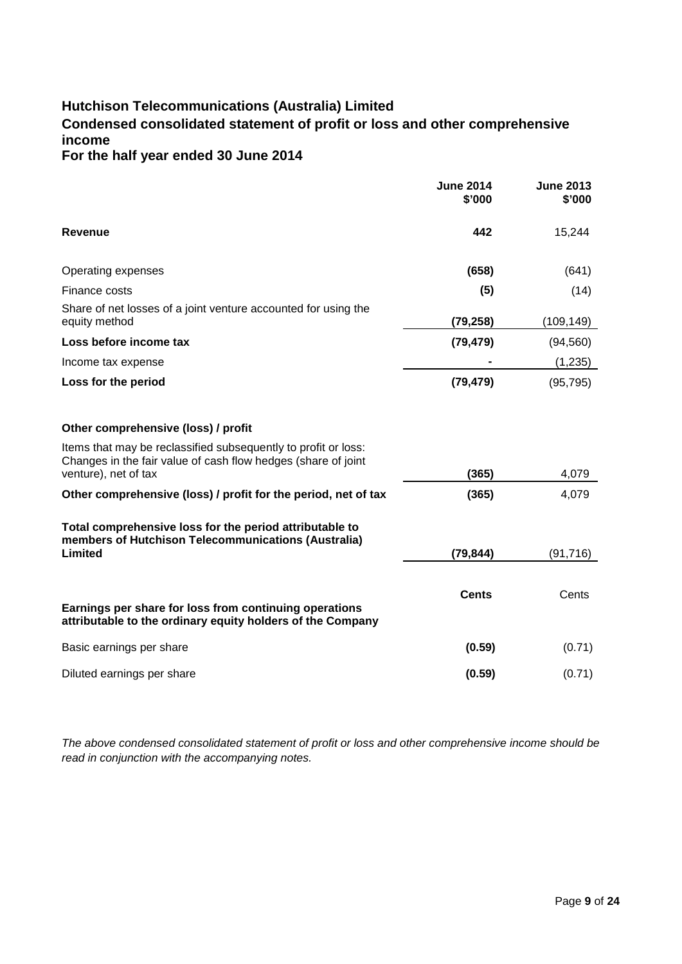# **Hutchison Telecommunications (Australia) Limited**

# <span id="page-9-0"></span>**Condensed consolidated statement of profit or loss and other comprehensive income**

## **For the half year ended 30 June 2014**

|                                                                                                                                                                                                | <b>June 2014</b><br>\$'000 | <b>June 2013</b><br>\$'000 |
|------------------------------------------------------------------------------------------------------------------------------------------------------------------------------------------------|----------------------------|----------------------------|
| <b>Revenue</b>                                                                                                                                                                                 | 442                        | 15,244                     |
| Operating expenses                                                                                                                                                                             | (658)                      | (641)                      |
| Finance costs                                                                                                                                                                                  | (5)                        | (14)                       |
| Share of net losses of a joint venture accounted for using the<br>equity method                                                                                                                | (79, 258)                  | (109, 149)                 |
| Loss before income tax                                                                                                                                                                         | (79, 479)                  | (94, 560)                  |
| Income tax expense                                                                                                                                                                             |                            | (1,235)                    |
| Loss for the period                                                                                                                                                                            | (79, 479)                  | (95, 795)                  |
| Other comprehensive (loss) / profit<br>Items that may be reclassified subsequently to profit or loss:<br>Changes in the fair value of cash flow hedges (share of joint<br>venture), net of tax | (365)                      | 4,079                      |
| Other comprehensive (loss) / profit for the period, net of tax                                                                                                                                 | (365)                      | 4,079                      |
| Total comprehensive loss for the period attributable to<br>members of Hutchison Telecommunications (Australia)<br>Limited                                                                      | (79, 844)                  | (91, 716)                  |
| Earnings per share for loss from continuing operations<br>attributable to the ordinary equity holders of the Company                                                                           | <b>Cents</b>               | Cents                      |
| Basic earnings per share                                                                                                                                                                       | (0.59)                     | (0.71)                     |
| Diluted earnings per share                                                                                                                                                                     | (0.59)                     | (0.71)                     |

*The above condensed consolidated statement of profit or loss and other comprehensive income should be read in conjunction with the accompanying notes.*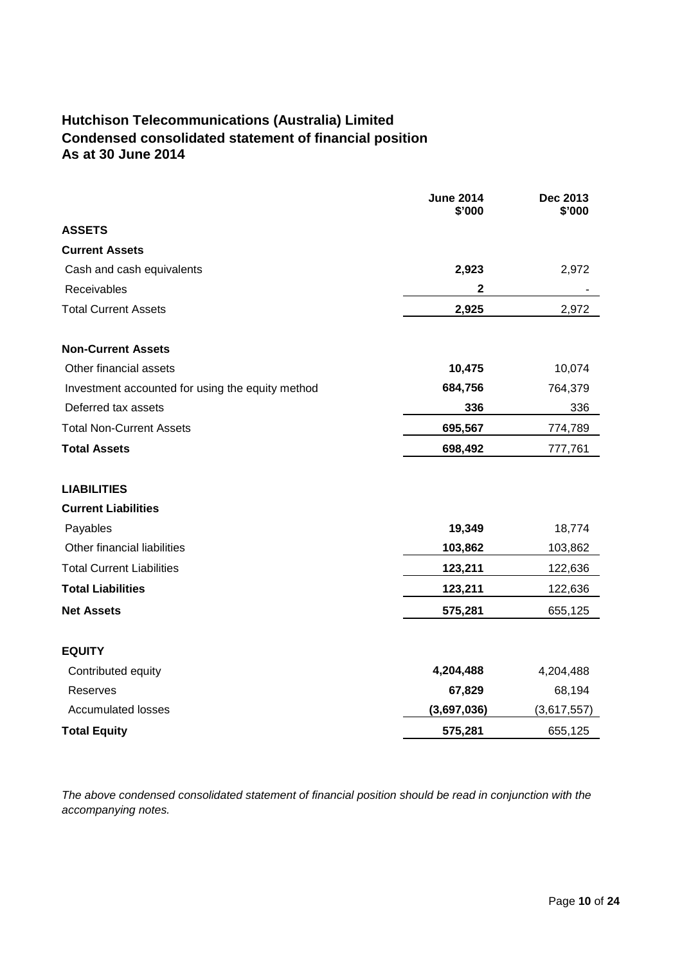# <span id="page-10-0"></span>**Hutchison Telecommunications (Australia) Limited Condensed consolidated statement of financial position As at 30 June 2014**

|                                                  | <b>June 2014</b><br>\$'000 | Dec 2013<br>\$'000 |
|--------------------------------------------------|----------------------------|--------------------|
| <b>ASSETS</b>                                    |                            |                    |
| <b>Current Assets</b>                            |                            |                    |
| Cash and cash equivalents                        | 2,923                      | 2,972              |
| Receivables                                      | $\mathbf{2}$               |                    |
| <b>Total Current Assets</b>                      | 2,925                      | 2,972              |
| <b>Non-Current Assets</b>                        |                            |                    |
| Other financial assets                           | 10,475                     | 10,074             |
| Investment accounted for using the equity method | 684,756                    | 764,379            |
| Deferred tax assets                              | 336                        | 336                |
| <b>Total Non-Current Assets</b>                  | 695,567                    | 774,789            |
| <b>Total Assets</b>                              | 698,492                    | 777,761            |
| <b>LIABILITIES</b>                               |                            |                    |
| <b>Current Liabilities</b>                       |                            |                    |
| Payables                                         | 19,349                     | 18,774             |
| Other financial liabilities                      | 103,862                    | 103,862            |
| <b>Total Current Liabilities</b>                 | 123,211                    | 122,636            |
| <b>Total Liabilities</b>                         | 123,211                    | 122,636            |
| <b>Net Assets</b>                                | 575,281                    | 655,125            |
| <b>EQUITY</b>                                    |                            |                    |
| Contributed equity                               | 4,204,488                  | 4,204,488          |
| Reserves                                         | 67,829                     | 68,194             |
| <b>Accumulated losses</b>                        | (3,697,036)                | (3,617,557)        |
| <b>Total Equity</b>                              | 575,281                    | 655,125            |

*The above condensed consolidated statement of financial position should be read in conjunction with the accompanying notes.*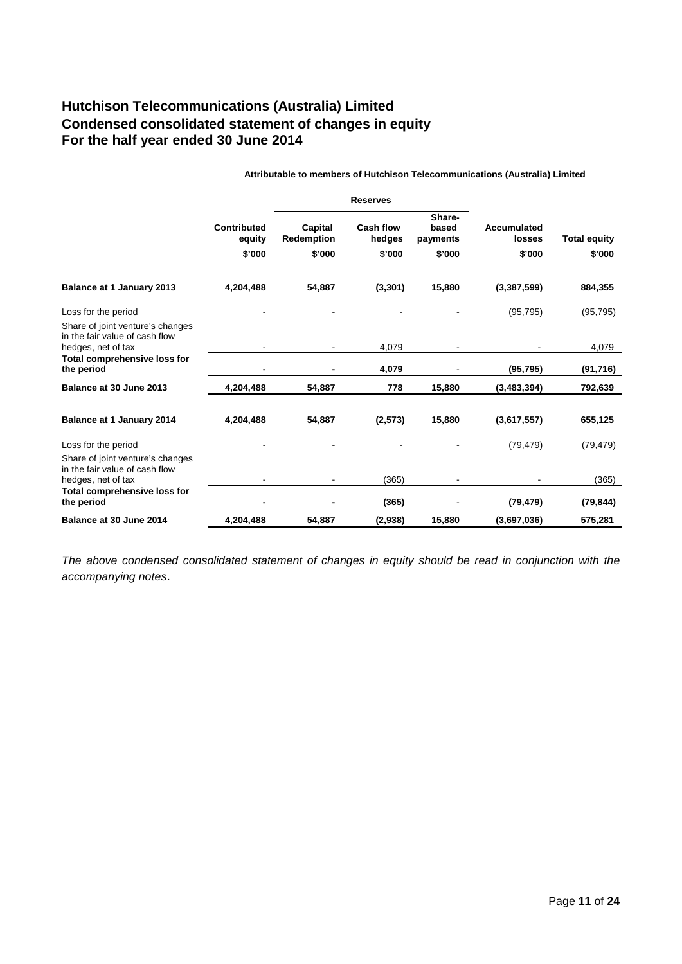# <span id="page-11-0"></span>**Hutchison Telecommunications (Australia) Limited Condensed consolidated statement of changes in equity For the half year ended 30 June 2014**

|                                                                                           |                                 |                                        | <b>Reserves</b>                      |                                       |                                        |                               |
|-------------------------------------------------------------------------------------------|---------------------------------|----------------------------------------|--------------------------------------|---------------------------------------|----------------------------------------|-------------------------------|
|                                                                                           | Contributed<br>equity<br>\$'000 | Capital<br><b>Redemption</b><br>\$'000 | <b>Cash flow</b><br>hedges<br>\$'000 | Share-<br>based<br>payments<br>\$'000 | <b>Accumulated</b><br>losses<br>\$'000 | <b>Total equity</b><br>\$'000 |
| Balance at 1 January 2013                                                                 | 4,204,488                       | 54,887                                 | (3,301)                              | 15,880                                | (3,387,599)                            | 884,355                       |
| Loss for the period<br>Share of joint venture's changes<br>in the fair value of cash flow |                                 |                                        |                                      |                                       | (95, 795)                              | (95, 795)                     |
| hedges, net of tax                                                                        |                                 |                                        | 4,079                                |                                       |                                        | 4,079                         |
| Total comprehensive loss for<br>the period                                                |                                 |                                        | 4,079                                |                                       | (95, 795)                              | (91, 716)                     |
| Balance at 30 June 2013                                                                   | 4,204,488                       | 54,887                                 | 778                                  | 15,880                                | (3,483,394)                            | 792,639                       |
| Balance at 1 January 2014                                                                 | 4,204,488                       | 54,887                                 | (2,573)                              | 15,880                                | (3,617,557)                            | 655,125                       |
| Loss for the period                                                                       |                                 |                                        |                                      |                                       | (79, 479)                              | (79, 479)                     |
| Share of joint venture's changes<br>in the fair value of cash flow<br>hedges, net of tax  |                                 |                                        | (365)                                |                                       |                                        | (365)                         |
| Total comprehensive loss for<br>the period                                                |                                 |                                        | (365)                                |                                       | (79, 479)                              | (79, 844)                     |
| Balance at 30 June 2014                                                                   | 4,204,488                       | 54,887                                 | (2,938)                              | 15,880                                | (3,697,036)                            | 575,281                       |

**Attributable to members of Hutchison Telecommunications (Australia) Limited**

*The above condensed consolidated statement of changes in equity should be read in conjunction with the accompanying notes*.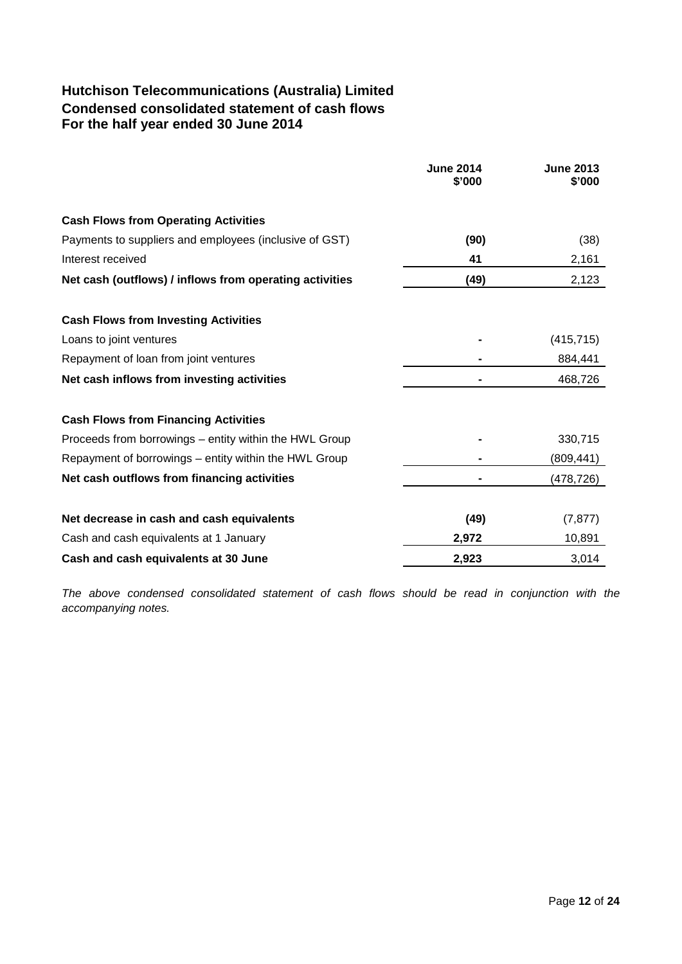# <span id="page-12-0"></span>**Hutchison Telecommunications (Australia) Limited Condensed consolidated statement of cash flows For the half year ended 30 June 2014**

|                                                         | <b>June 2014</b><br>\$'000 | <b>June 2013</b><br>\$'000 |
|---------------------------------------------------------|----------------------------|----------------------------|
|                                                         |                            |                            |
| <b>Cash Flows from Operating Activities</b>             |                            |                            |
| Payments to suppliers and employees (inclusive of GST)  | (90)                       | (38)                       |
| Interest received                                       | 41                         | 2,161                      |
| Net cash (outflows) / inflows from operating activities | (49)                       | 2,123                      |
| <b>Cash Flows from Investing Activities</b>             |                            |                            |
| Loans to joint ventures                                 |                            | (415, 715)                 |
| Repayment of loan from joint ventures                   |                            | 884,441                    |
| Net cash inflows from investing activities              |                            | 468,726                    |
| <b>Cash Flows from Financing Activities</b>             |                            |                            |
| Proceeds from borrowings - entity within the HWL Group  |                            | 330,715                    |
| Repayment of borrowings – entity within the HWL Group   |                            | (809,441)                  |
| Net cash outflows from financing activities             |                            | (478,726)                  |
| Net decrease in cash and cash equivalents               | (49)                       | (7, 877)                   |
| Cash and cash equivalents at 1 January                  | 2,972                      | 10,891                     |
| Cash and cash equivalents at 30 June                    | 2,923                      | 3,014                      |

*The above condensed consolidated statement of cash flows should be read in conjunction with the accompanying notes.*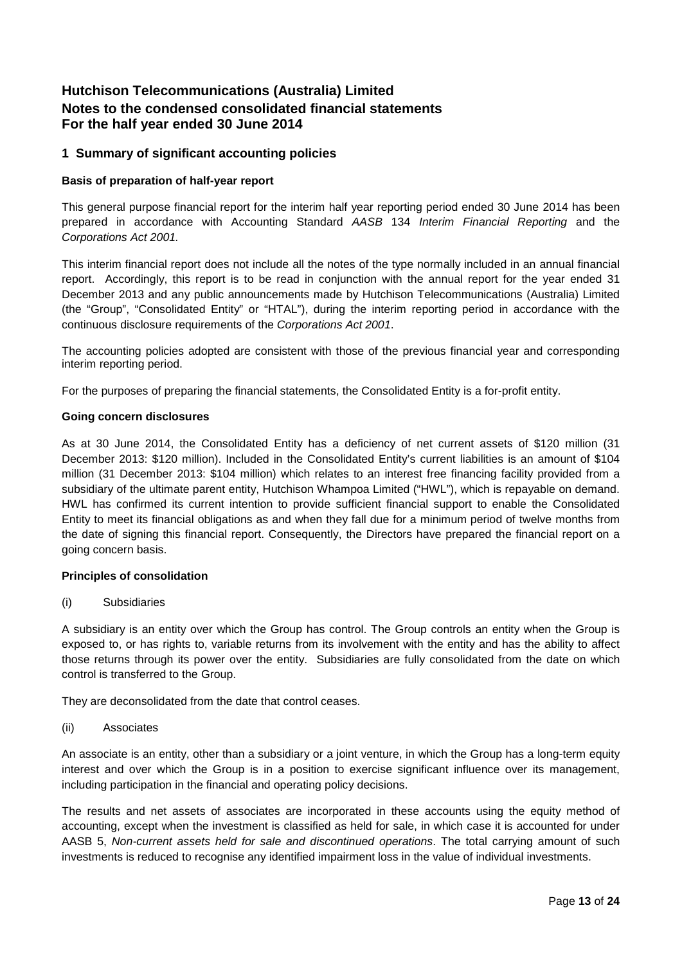## <span id="page-13-0"></span>**Hutchison Telecommunications (Australia) Limited Notes to the condensed consolidated financial statements For the half year ended 30 June 2014**

## **1 Summary of significant accounting policies**

#### **Basis of preparation of half-year report**

This general purpose financial report for the interim half year reporting period ended 30 June 2014 has been prepared in accordance with Accounting Standard *AASB* 134 *Interim Financial Reporting* and the *Corporations Act 2001.*

This interim financial report does not include all the notes of the type normally included in an annual financial report. Accordingly, this report is to be read in conjunction with the annual report for the year ended 31 December 2013 and any public announcements made by Hutchison Telecommunications (Australia) Limited (the "Group", "Consolidated Entity" or "HTAL"), during the interim reporting period in accordance with the continuous disclosure requirements of the *Corporations Act 2001*.

The accounting policies adopted are consistent with those of the previous financial year and corresponding interim reporting period.

For the purposes of preparing the financial statements, the Consolidated Entity is a for-profit entity.

#### **Going concern disclosures**

As at 30 June 2014, the Consolidated Entity has a deficiency of net current assets of \$120 million (31 December 2013: \$120 million). Included in the Consolidated Entity's current liabilities is an amount of \$104 million (31 December 2013: \$104 million) which relates to an interest free financing facility provided from a subsidiary of the ultimate parent entity, Hutchison Whampoa Limited ("HWL"), which is repayable on demand. HWL has confirmed its current intention to provide sufficient financial support to enable the Consolidated Entity to meet its financial obligations as and when they fall due for a minimum period of twelve months from the date of signing this financial report. Consequently, the Directors have prepared the financial report on a going concern basis.

#### **Principles of consolidation**

#### (i) Subsidiaries

A subsidiary is an entity over which the Group has control. The Group controls an entity when the Group is exposed to, or has rights to, variable returns from its involvement with the entity and has the ability to affect those returns through its power over the entity. Subsidiaries are fully consolidated from the date on which control is transferred to the Group.

They are deconsolidated from the date that control ceases.

(ii) Associates

An associate is an entity, other than a subsidiary or a joint venture, in which the Group has a long-term equity interest and over which the Group is in a position to exercise significant influence over its management, including participation in the financial and operating policy decisions.

The results and net assets of associates are incorporated in these accounts using the equity method of accounting, except when the investment is classified as held for sale, in which case it is accounted for under AASB 5, *Non-current assets held for sale and discontinued operations*. The total carrying amount of such investments is reduced to recognise any identified impairment loss in the value of individual investments.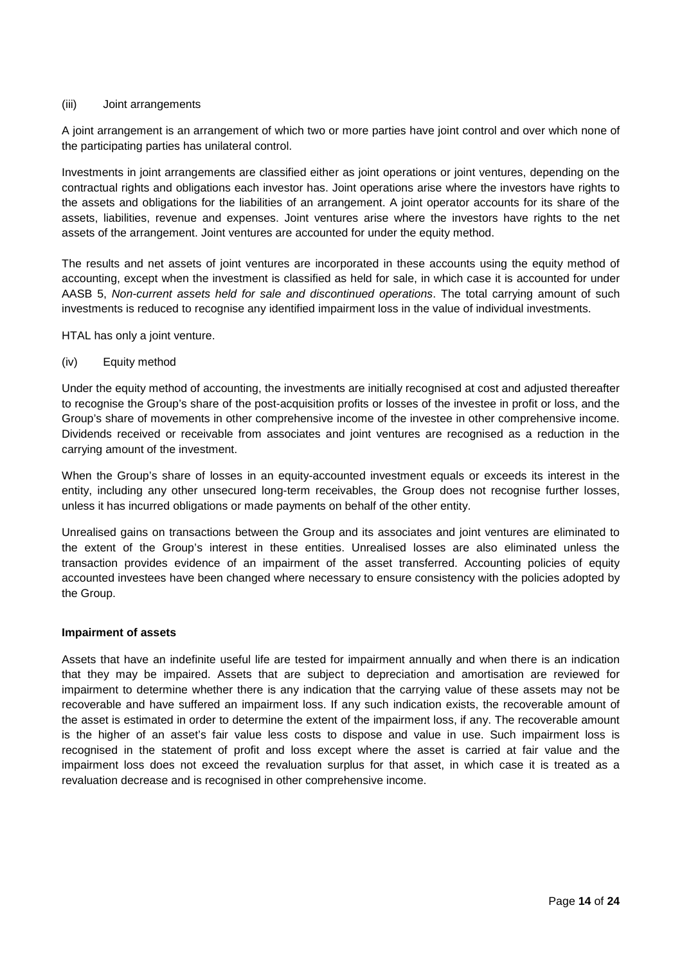#### (iii) Joint arrangements

A joint arrangement is an arrangement of which two or more parties have joint control and over which none of the participating parties has unilateral control.

Investments in joint arrangements are classified either as joint operations or joint ventures, depending on the contractual rights and obligations each investor has. Joint operations arise where the investors have rights to the assets and obligations for the liabilities of an arrangement. A joint operator accounts for its share of the assets, liabilities, revenue and expenses. Joint ventures arise where the investors have rights to the net assets of the arrangement. Joint ventures are accounted for under the equity method.

The results and net assets of joint ventures are incorporated in these accounts using the equity method of accounting, except when the investment is classified as held for sale, in which case it is accounted for under AASB 5, *Non-current assets held for sale and discontinued operations*. The total carrying amount of such investments is reduced to recognise any identified impairment loss in the value of individual investments.

HTAL has only a joint venture.

#### (iv) Equity method

Under the equity method of accounting, the investments are initially recognised at cost and adjusted thereafter to recognise the Group's share of the post-acquisition profits or losses of the investee in profit or loss, and the Group's share of movements in other comprehensive income of the investee in other comprehensive income. Dividends received or receivable from associates and joint ventures are recognised as a reduction in the carrying amount of the investment.

When the Group's share of losses in an equity-accounted investment equals or exceeds its interest in the entity, including any other unsecured long-term receivables, the Group does not recognise further losses, unless it has incurred obligations or made payments on behalf of the other entity.

Unrealised gains on transactions between the Group and its associates and joint ventures are eliminated to the extent of the Group's interest in these entities. Unrealised losses are also eliminated unless the transaction provides evidence of an impairment of the asset transferred. Accounting policies of equity accounted investees have been changed where necessary to ensure consistency with the policies adopted by the Group.

#### **Impairment of assets**

Assets that have an indefinite useful life are tested for impairment annually and when there is an indication that they may be impaired. Assets that are subject to depreciation and amortisation are reviewed for impairment to determine whether there is any indication that the carrying value of these assets may not be recoverable and have suffered an impairment loss. If any such indication exists, the recoverable amount of the asset is estimated in order to determine the extent of the impairment loss, if any. The recoverable amount is the higher of an asset's fair value less costs to dispose and value in use. Such impairment loss is recognised in the statement of profit and loss except where the asset is carried at fair value and the impairment loss does not exceed the revaluation surplus for that asset, in which case it is treated as a revaluation decrease and is recognised in other comprehensive income.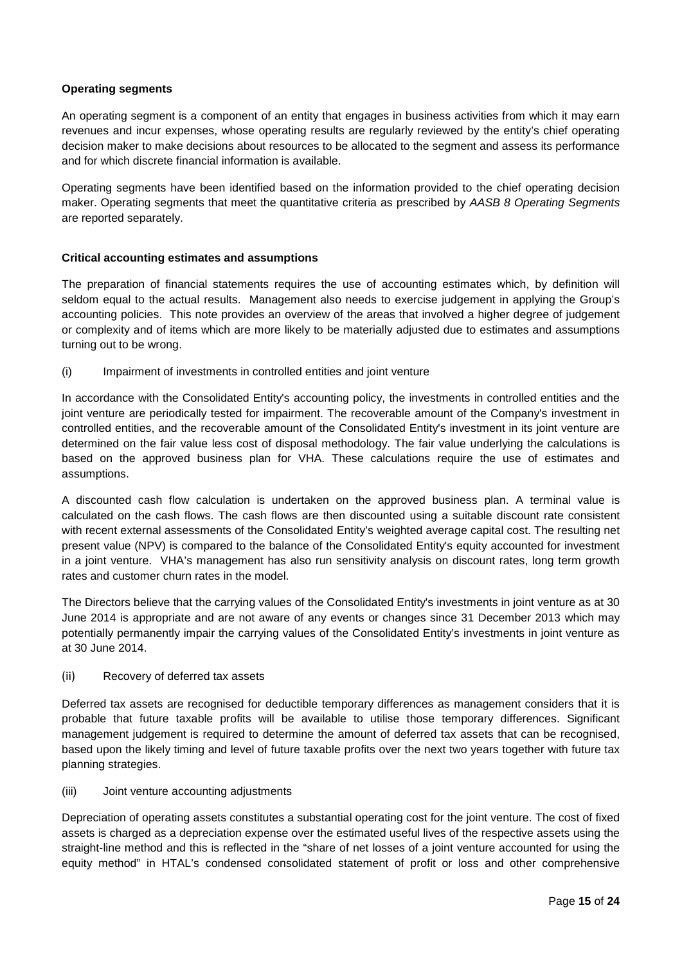#### **Operating segments**

An operating segment is a component of an entity that engages in business activities from which it may earn revenues and incur expenses, whose operating results are regularly reviewed by the entity's chief operating decision maker to make decisions about resources to be allocated to the segment and assess its performance and for which discrete financial information is available.

Operating segments have been identified based on the information provided to the chief operating decision maker. Operating segments that meet the quantitative criteria as prescribed by *AASB 8 Operating Segments* are reported separately.

#### **Critical accounting estimates and assumptions**

The preparation of financial statements requires the use of accounting estimates which, by definition will seldom equal to the actual results. Management also needs to exercise judgement in applying the Group's accounting policies. This note provides an overview of the areas that involved a higher degree of judgement or complexity and of items which are more likely to be materially adjusted due to estimates and assumptions turning out to be wrong.

(i) Impairment of investments in controlled entities and joint venture

In accordance with the Consolidated Entity's accounting policy, the investments in controlled entities and the joint venture are periodically tested for impairment. The recoverable amount of the Company's investment in controlled entities, and the recoverable amount of the Consolidated Entity's investment in its joint venture are determined on the fair value less cost of disposal methodology. The fair value underlying the calculations is based on the approved business plan for VHA. These calculations require the use of estimates and assumptions.

A discounted cash flow calculation is undertaken on the approved business plan. A terminal value is calculated on the cash flows. The cash flows are then discounted using a suitable discount rate consistent with recent external assessments of the Consolidated Entity's weighted average capital cost. The resulting net present value (NPV) is compared to the balance of the Consolidated Entity's equity accounted for investment in a joint venture. VHA's management has also run sensitivity analysis on discount rates, long term growth rates and customer churn rates in the model.

The Directors believe that the carrying values of the Consolidated Entity's investments in joint venture as at 30 June 2014 is appropriate and are not aware of any events or changes since 31 December 2013 which may potentially permanently impair the carrying values of the Consolidated Entity's investments in joint venture as at 30 June 2014.

#### (ii) Recovery of deferred tax assets

Deferred tax assets are recognised for deductible temporary differences as management considers that it is probable that future taxable profits will be available to utilise those temporary differences. Significant management judgement is required to determine the amount of deferred tax assets that can be recognised, based upon the likely timing and level of future taxable profits over the next two years together with future tax planning strategies.

(iii) Joint venture accounting adjustments

Depreciation of operating assets constitutes a substantial operating cost for the joint venture. The cost of fixed assets is charged as a depreciation expense over the estimated useful lives of the respective assets using the straight-line method and this is reflected in the "share of net losses of a joint venture accounted for using the equity method" in HTAL's condensed consolidated statement of profit or loss and other comprehensive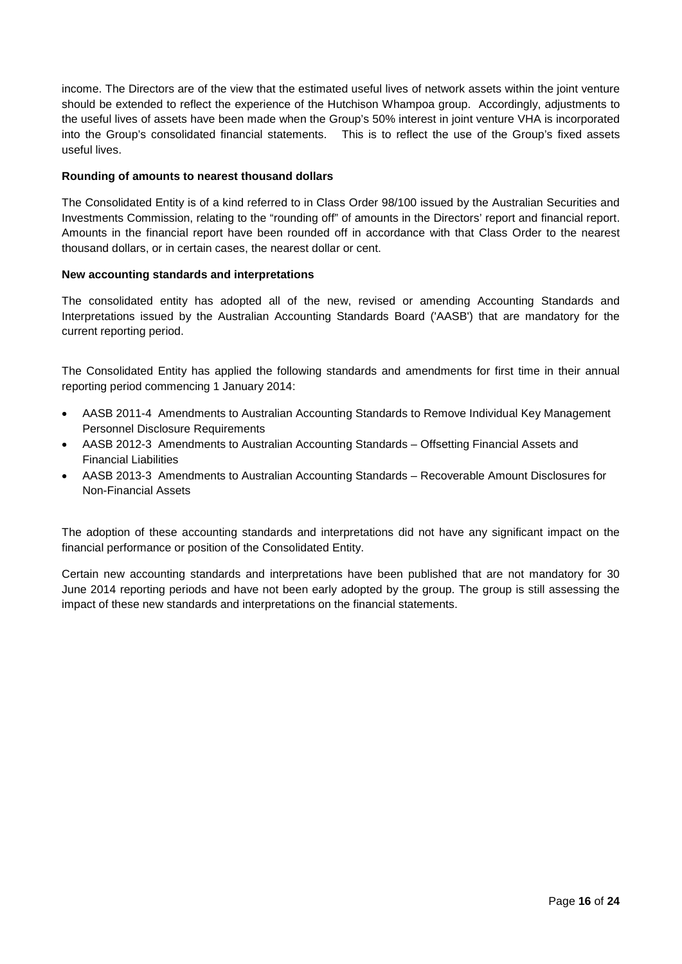income. The Directors are of the view that the estimated useful lives of network assets within the joint venture should be extended to reflect the experience of the Hutchison Whampoa group. Accordingly, adjustments to the useful lives of assets have been made when the Group's 50% interest in joint venture VHA is incorporated into the Group's consolidated financial statements. This is to reflect the use of the Group's fixed assets useful lives.

#### **Rounding of amounts to nearest thousand dollars**

The Consolidated Entity is of a kind referred to in Class Order 98/100 issued by the Australian Securities and Investments Commission, relating to the "rounding off" of amounts in the Directors' report and financial report. Amounts in the financial report have been rounded off in accordance with that Class Order to the nearest thousand dollars, or in certain cases, the nearest dollar or cent.

#### **New accounting standards and interpretations**

The consolidated entity has adopted all of the new, revised or amending Accounting Standards and Interpretations issued by the Australian Accounting Standards Board ('AASB') that are mandatory for the current reporting period.

The Consolidated Entity has applied the following standards and amendments for first time in their annual reporting period commencing 1 January 2014:

- AASB 2011-4 Amendments to Australian Accounting Standards to Remove Individual Key Management Personnel Disclosure Requirements
- AASB 2012-3 Amendments to Australian Accounting Standards Offsetting Financial Assets and Financial Liabilities
- AASB 2013-3 Amendments to Australian Accounting Standards Recoverable Amount Disclosures for Non-Financial Assets

The adoption of these accounting standards and interpretations did not have any significant impact on the financial performance or position of the Consolidated Entity.

Certain new accounting standards and interpretations have been published that are not mandatory for 30 June 2014 reporting periods and have not been early adopted by the group. The group is still assessing the impact of these new standards and interpretations on the financial statements.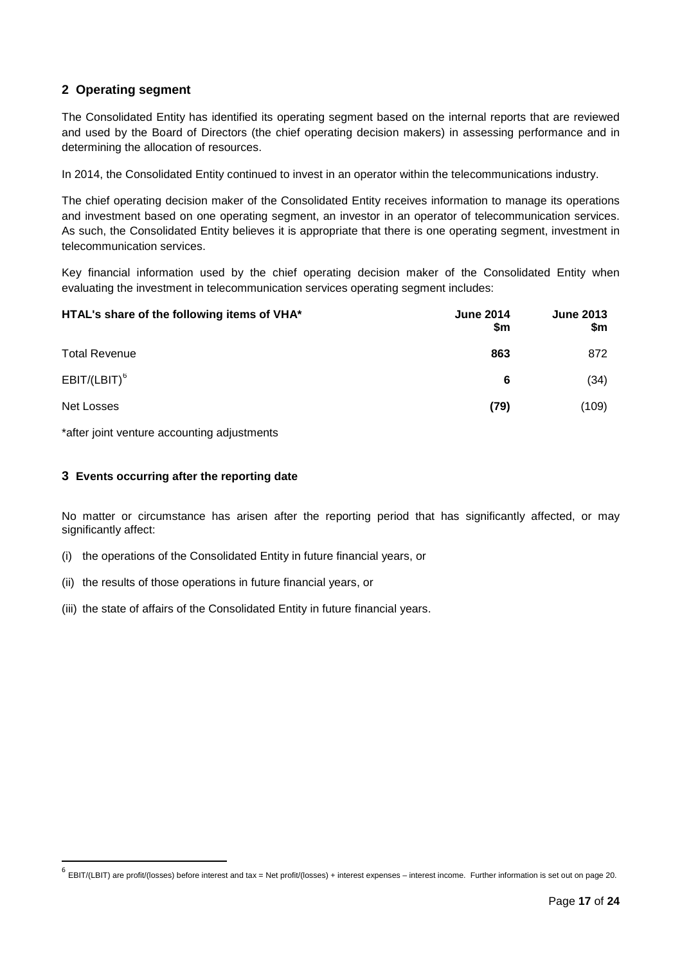## **2 Operating segment**

The Consolidated Entity has identified its operating segment based on the internal reports that are reviewed and used by the Board of Directors (the chief operating decision makers) in assessing performance and in determining the allocation of resources.

In 2014, the Consolidated Entity continued to invest in an operator within the telecommunications industry.

The chief operating decision maker of the Consolidated Entity receives information to manage its operations and investment based on one operating segment, an investor in an operator of telecommunication services. As such, the Consolidated Entity believes it is appropriate that there is one operating segment, investment in telecommunication services.

Key financial information used by the chief operating decision maker of the Consolidated Entity when evaluating the investment in telecommunication services operating segment includes:

| HTAL's share of the following items of VHA* | <b>June 2014</b><br>\$m | <b>June 2013</b><br>\$m |
|---------------------------------------------|-------------------------|-------------------------|
| <b>Total Revenue</b>                        | 863                     | 872                     |
| $EBIT/(LBIT)^6$                             | 6                       | (34)                    |
| Net Losses                                  | (79)                    | (109)                   |

\*after joint venture accounting adjustments

#### **3 Events occurring after the reporting date**

No matter or circumstance has arisen after the reporting period that has significantly affected, or may significantly affect:

- (i) the operations of the Consolidated Entity in future financial years, or
- (ii) the results of those operations in future financial years, or
- (iii) the state of affairs of the Consolidated Entity in future financial years.

<span id="page-17-0"></span> $^6$  EBIT/(LBIT) are profit/(losses) before interest and tax = Net profit/(losses) + interest expenses – interest income. Further information is set out on page 20.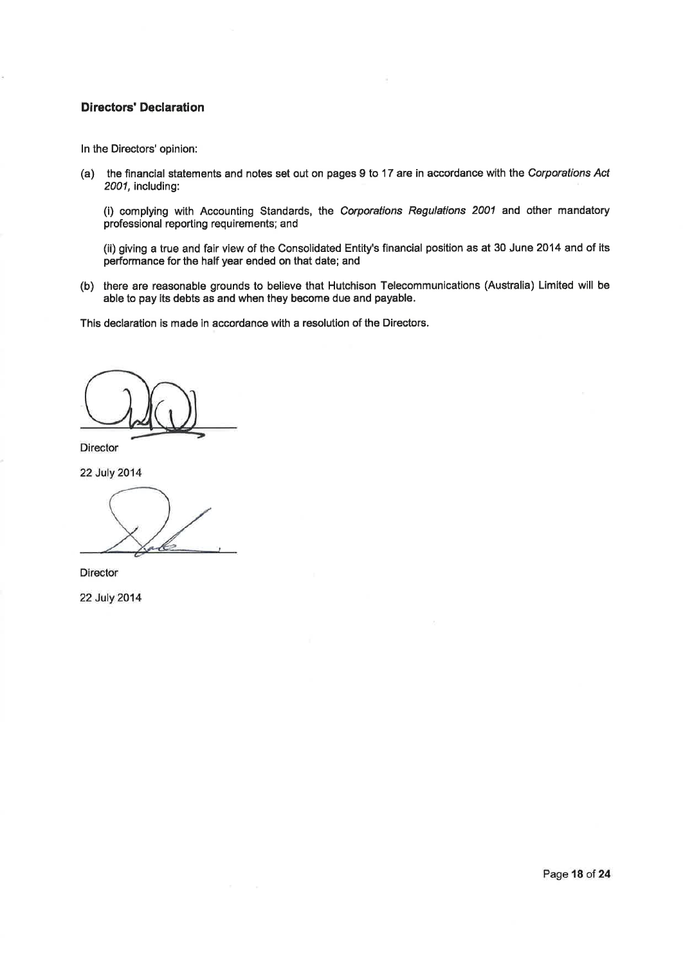#### **Directors' Declaration**

In the Directors' opinion:

(a) the financial statements and notes set out on pages 9 to 17 are in accordance with the Corporations Act 2001, including:

(i) complying with Accounting Standards, the Corporations Regulations 2001 and other mandatory professional reporting requirements; and

(ii) giving a true and fair view of the Consolidated Entity's financial position as at 30 June 2014 and of its performance for the half year ended on that date; and

(b) there are reasonable grounds to believe that Hutchison Telecommunications (Australia) Limited will be able to pay its debts as and when they become due and payable.

This declaration is made in accordance with a resolution of the Directors.

**Director** 

22 July 2014

Director

22 July 2014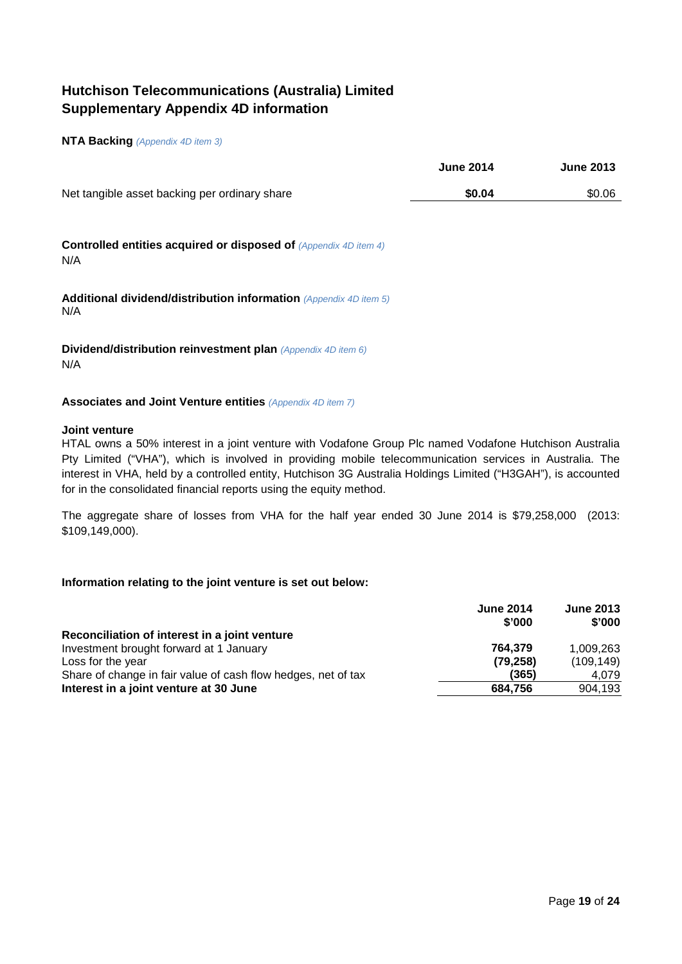# <span id="page-19-0"></span>**Hutchison Telecommunications (Australia) Limited Supplementary Appendix 4D information**

#### **NTA Backing** *(Appendix 4D item 3)*

|                                                                                | <b>June 2014</b> | <b>June 2013</b> |
|--------------------------------------------------------------------------------|------------------|------------------|
| Net tangible asset backing per ordinary share                                  | \$0.04           | \$0.06           |
| <b>Controlled entities acquired or disposed of (Appendix 4D item 4)</b><br>N/A |                  |                  |
| Additional dividend/distribution information (Appendix 4D item 5)<br>N/A       |                  |                  |
| Dividend/distribution reinvestment plan (Appendix 4D item 6)<br>N/A            |                  |                  |

#### **Associates and Joint Venture entities** *(Appendix 4D item 7)*

#### **Joint venture**

HTAL owns a 50% interest in a joint venture with Vodafone Group Plc named Vodafone Hutchison Australia Pty Limited ("VHA"), which is involved in providing mobile telecommunication services in Australia. The interest in VHA, held by a controlled entity, Hutchison 3G Australia Holdings Limited ("H3GAH"), is accounted for in the consolidated financial reports using the equity method.

The aggregate share of losses from VHA for the half year ended 30 June 2014 is \$79,258,000 (2013: \$109,149,000).

#### **Information relating to the joint venture is set out below:**

| <b>June 2014</b><br>\$'000                                             | <b>June 2013</b><br>\$'000 |
|------------------------------------------------------------------------|----------------------------|
| Reconciliation of interest in a joint venture                          |                            |
| Investment brought forward at 1 January<br>764.379                     | 1.009.263                  |
| (79, 258)<br>Loss for the year                                         | (109, 149)                 |
| Share of change in fair value of cash flow hedges, net of tax<br>(365) | 4.079                      |
| Interest in a joint venture at 30 June<br>684.756                      | 904,193                    |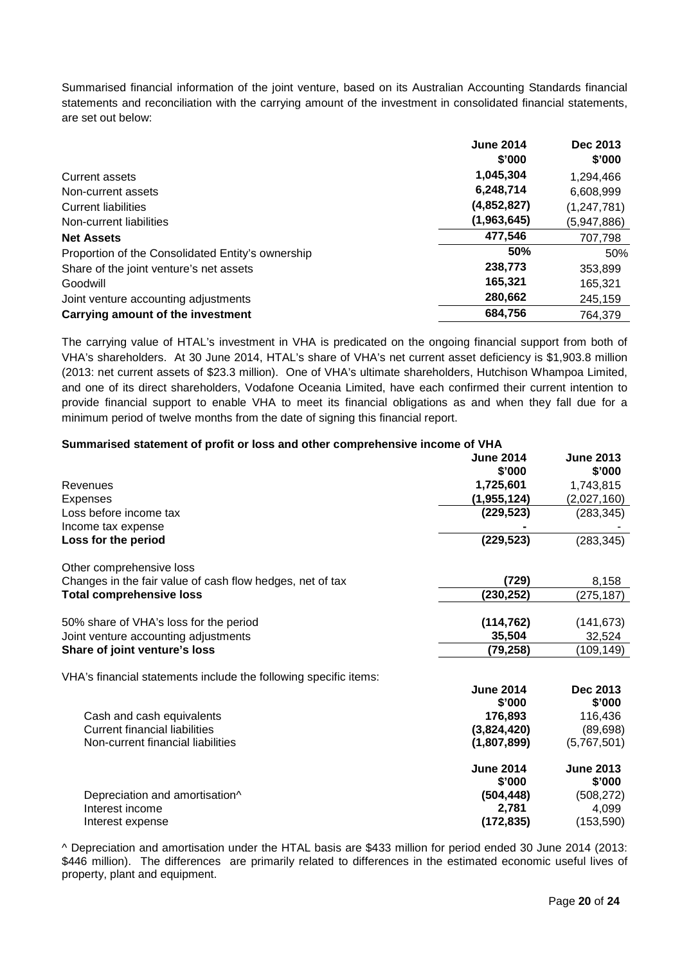Summarised financial information of the joint venture, based on its Australian Accounting Standards financial statements and reconciliation with the carrying amount of the investment in consolidated financial statements, are set out below:

|                                                   | <b>June 2014</b> | Dec 2013      |
|---------------------------------------------------|------------------|---------------|
|                                                   | \$'000           | \$'000        |
| <b>Current assets</b>                             | 1,045,304        | 1,294,466     |
| Non-current assets                                | 6,248,714        | 6,608,999     |
| <b>Current liabilities</b>                        | (4,852,827)      | (1, 247, 781) |
| Non-current liabilities                           | (1,963,645)      | (5,947,886)   |
| <b>Net Assets</b>                                 | 477,546          | 707,798       |
| Proportion of the Consolidated Entity's ownership | 50%              | 50%           |
| Share of the joint venture's net assets           | 238,773          | 353,899       |
| Goodwill                                          | 165,321          | 165,321       |
| Joint venture accounting adjustments              | 280,662          | 245,159       |
| Carrying amount of the investment                 | 684,756          | 764.379       |

The carrying value of HTAL's investment in VHA is predicated on the ongoing financial support from both of VHA's shareholders. At 30 June 2014, HTAL's share of VHA's net current asset deficiency is \$1,903.8 million (2013: net current assets of \$23.3 million). One of VHA's ultimate shareholders, Hutchison Whampoa Limited, and one of its direct shareholders, Vodafone Oceania Limited, have each confirmed their current intention to provide financial support to enable VHA to meet its financial obligations as and when they fall due for a minimum period of twelve months from the date of signing this financial report.

| Summarised statement of profit or loss and other comprehensive income of VHA |                  |                  |
|------------------------------------------------------------------------------|------------------|------------------|
|                                                                              | <b>June 2014</b> | <b>June 2013</b> |
|                                                                              | \$'000           | \$'000           |
| Revenues                                                                     | 1,725,601        | 1,743,815        |
| <b>Expenses</b>                                                              | (1,955,124)      | (2,027,160)      |
| Loss before income tax                                                       | (229, 523)       | (283, 345)       |
| Income tax expense                                                           |                  |                  |
| Loss for the period                                                          | (229, 523)       | (283, 345)       |
| Other comprehensive loss                                                     |                  |                  |
| Changes in the fair value of cash flow hedges, net of tax                    | (729)            | 8,158            |
| <b>Total comprehensive loss</b>                                              | (230, 252)       | (275, 187)       |
|                                                                              |                  |                  |
| 50% share of VHA's loss for the period                                       | (114, 762)       | (141, 673)       |
| Joint venture accounting adjustments                                         | 35,504           | 32,524           |
| Share of joint venture's loss                                                | (79,258)         | (109,149)        |
| VHA's financial statements include the following specific items:             |                  |                  |
|                                                                              | <b>June 2014</b> | Dec 2013         |
|                                                                              | \$'000           | \$'000           |
| Cash and cash equivalents                                                    | 176,893          | 116,436          |
| <b>Current financial liabilities</b>                                         | (3,824,420)      | (89, 698)        |
| Non-current financial liabilities                                            | (1,807,899)      | (5,767,501)      |
|                                                                              | <b>June 2014</b> | <b>June 2013</b> |
|                                                                              | \$'000           | \$'000           |
| Depreciation and amortisation^                                               | (504, 448)       | (508, 272)       |
| Interest income                                                              | 2,781            | 4,099            |
| Interest expense                                                             | (172, 835)       | (153, 590)       |

^ Depreciation and amortisation under the HTAL basis are \$433 million for period ended 30 June 2014 (2013: \$446 million). The differences are primarily related to differences in the estimated economic useful lives of property, plant and equipment.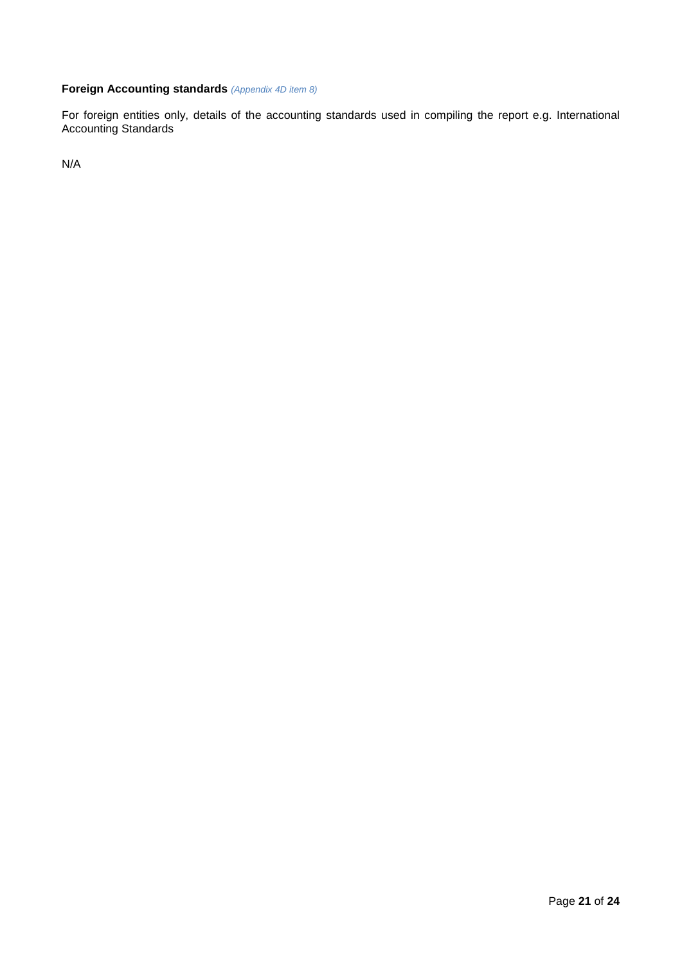## **Foreign Accounting standards** *(Appendix 4D item 8)*

For foreign entities only, details of the accounting standards used in compiling the report e.g. International Accounting Standards

N/A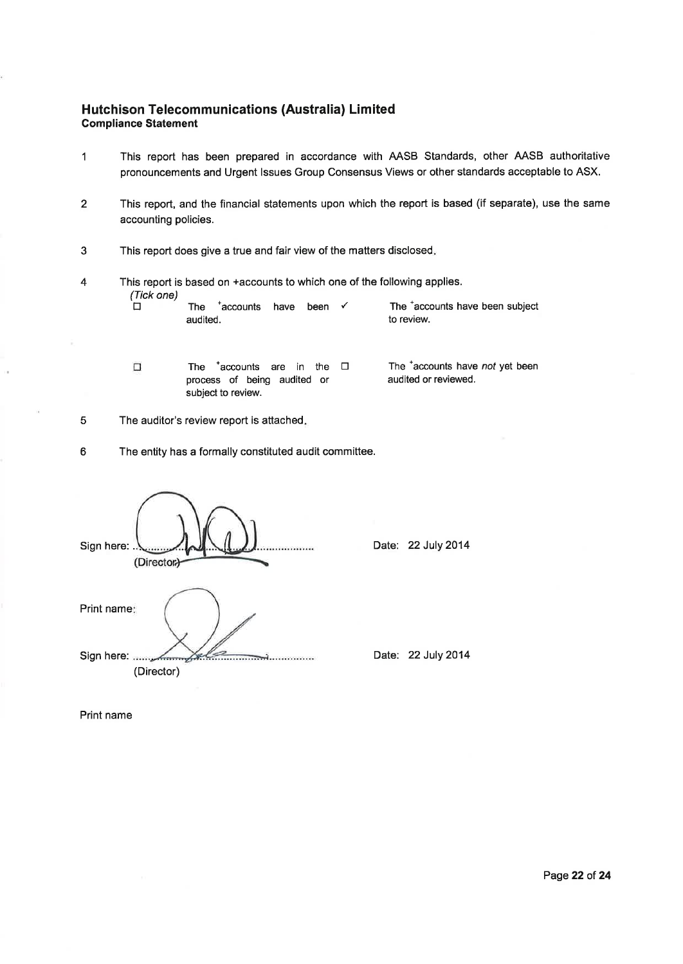### Hutchison Telecommunications (Australia) Limited **Compliance Statement**

- This report has been prepared in accordance with AASB Standards, other AASB authoritative  $\mathbf{1}$ pronouncements and Urgent Issues Group Consensus Views or other standards acceptable to ASX.
- $\overline{2}$ This report, and the financial statements upon which the report is based (if separate), use the same accounting policies.
- $\mathbf{3}$ This report does give a true and fair view of the matters disclosed.
	- This report is based on +accounts to which one of the following applies. (Tick one) The  $^+$ accounts have been  $\checkmark$ The 'accounts have been subject 'n audited. to review.
		- The  $^+$ accounts are in the  $\Box$ process of being audited or subject to review.

The <sup>+</sup>accounts have not yet been audited or reviewed.

 $\sqrt{5}$ The auditor's review report is attached.

 $\Box$ 

 $\boldsymbol{6}$ The entity has a formally constituted audit committee.

| Sign here: .<br>(Director) |
|----------------------------|
| Print name:                |
| Sign here:<br>(Director)   |

Date: 22 July 2014

Date: 22 July 2014

Print name

 $\overline{4}$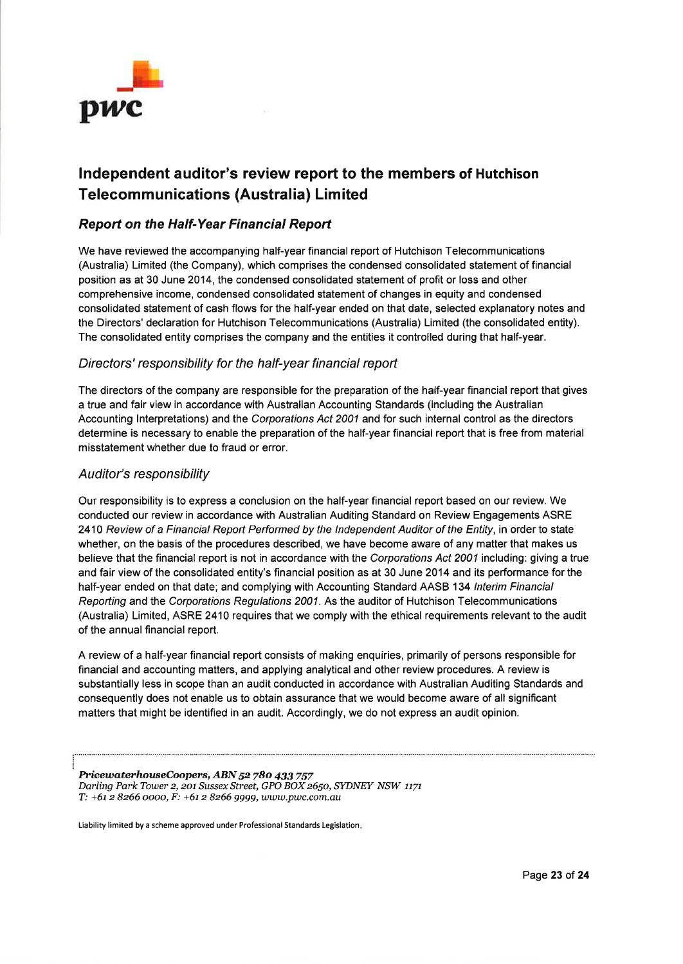

# Independent auditor's review report to the members of Hutchison **Telecommunications (Australia) Limited**

## **Report on the Half-Year Financial Report**

We have reviewed the accompanying half-year financial report of Hutchison Telecommunications (Australia) Limited (the Company), which comprises the condensed consolidated statement of financial position as at 30 June 2014, the condensed consolidated statement of profit or loss and other comprehensive income, condensed consolidated statement of changes in equity and condensed consolidated statement of cash flows for the half-year ended on that date, selected explanatory notes and the Directors' declaration for Hutchison Telecommunications (Australia) Limited (the consolidated entity). The consolidated entity comprises the company and the entities it controlled during that half-year.

## Directors' responsibility for the half-year financial report

The directors of the company are responsible for the preparation of the half-year financial report that gives a true and fair view in accordance with Australian Accounting Standards (including the Australian Accounting Interpretations) and the Corporations Act 2001 and for such internal control as the directors determine is necessary to enable the preparation of the half-year financial report that is free from material misstatement whether due to fraud or error.

#### Auditor's responsibility

Our responsibility is to express a conclusion on the half-year financial report based on our review. We conducted our review in accordance with Australian Auditing Standard on Review Engagements ASRE 2410 Review of a Financial Report Performed by the Independent Auditor of the Entity, in order to state whether, on the basis of the procedures described, we have become aware of any matter that makes us believe that the financial report is not in accordance with the Corporations Act 2001 including: giving a true and fair view of the consolidated entity's financial position as at 30 June 2014 and its performance for the half-year ended on that date; and complying with Accounting Standard AASB 134 Interim Financial Reporting and the Corporations Regulations 2001. As the auditor of Hutchison Telecommunications (Australia) Limited, ASRE 2410 requires that we comply with the ethical requirements relevant to the audit of the annual financial report.

A review of a half-year financial report consists of making enquiries, primarily of persons responsible for financial and accounting matters, and applying analytical and other review procedures. A review is substantially less in scope than an audit conducted in accordance with Australian Auditing Standards and consequently does not enable us to obtain assurance that we would become aware of all significant matters that might be identified in an audit. Accordingly, we do not express an audit opinion.

PricewaterhouseCoopers, ABN 52 780 433 757 Darling Park Tower 2, 201 Sussex Street, GPO BOX 2650, SYDNEY NSW 1171 Т: +61 2 8266 0000, F: +61 2 8266 9999, www.pwc.com.au

Liability limited by a scheme approved under Professional Standards Legislation.